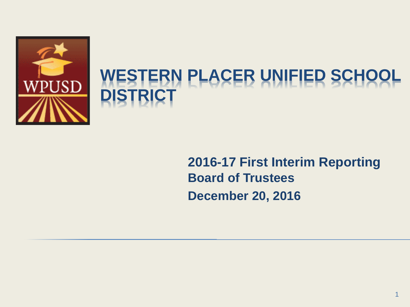

### **WESTERN PLACER UNIFIED SCHOOL DISTRICT**

**2016-17 First Interim Reporting Board of Trustees December 20, 2016**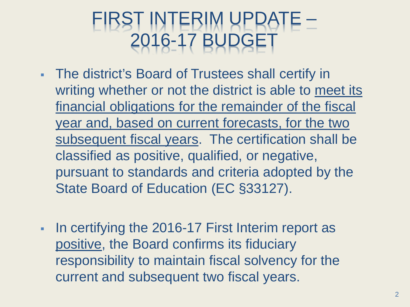## FIRST INTERIM UPDATE -016-17 BUDGE

- The district's Board of Trustees shall certify in writing whether or not the district is able to meet its financial obligations for the remainder of the fiscal year and, based on current forecasts, for the two subsequent fiscal years. The certification shall be classified as positive, qualified, or negative, pursuant to standards and criteria adopted by the State Board of Education (EC §33127).
- In certifying the 2016-17 First Interim report as positive, the Board confirms its fiduciary responsibility to maintain fiscal solvency for the current and subsequent two fiscal years.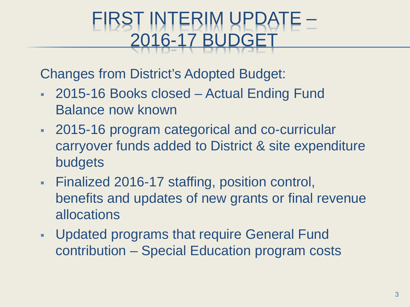### FIRST INTERIM UPDATE - $16 - 1$

Changes from District's Adopted Budget:

- 2015-16 Books closed Actual Ending Fund Balance now known
- 2015-16 program categorical and co-curricular carryover funds added to District & site expenditure budgets
- Finalized 2016-17 staffing, position control, benefits and updates of new grants or final revenue allocations
- Updated programs that require General Fund contribution – Special Education program costs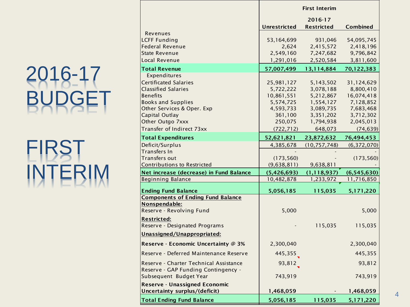# 2016-17 BUDGET

# FIRST INTERIM

|                                                                                                                                                                            | <b>First Interim</b>                                                       |                                                                            |                                                                              |  |
|----------------------------------------------------------------------------------------------------------------------------------------------------------------------------|----------------------------------------------------------------------------|----------------------------------------------------------------------------|------------------------------------------------------------------------------|--|
|                                                                                                                                                                            | <b>Unrestricted</b>                                                        | 2016-17<br><b>Restricted</b>                                               | <b>Combined</b>                                                              |  |
| Revenues<br><b>LCFF Funding</b><br><b>Federal Revenue</b><br><b>State Revenue</b>                                                                                          | 53,164,699<br>2,624<br>2,549,160                                           | 931,046<br>2,415,572<br>7,247,682                                          | 54,095,745<br>2,418,196<br>9,796,842                                         |  |
| Local Revenue                                                                                                                                                              | 1,291,016                                                                  | 2,520,584                                                                  | 3,811,600                                                                    |  |
| <b>Total Revenue</b>                                                                                                                                                       | 57,007,499                                                                 | 13,114,884                                                                 | 70,122,383                                                                   |  |
| Expenditures<br><b>Certificated Salaries</b><br><b>Classified Salaries</b><br><b>Benefits</b><br><b>Books and Supplies</b><br>Other Services & Oper. Exp<br>Capital Outlay | 25,981,127<br>5,722,222<br>10,861,551<br>5,574,725<br>4,593,733<br>361,100 | 5,143,502<br>3,078,188<br>5,212,867<br>1,554,127<br>3,089,735<br>3,351,202 | 31,124,629<br>8,800,410<br>16,074,418<br>7,128,852<br>7,683,468<br>3,712,302 |  |
| Other Outgo 7xxx                                                                                                                                                           | 250,075                                                                    | 1,794,938                                                                  | 2,045,013                                                                    |  |
| Transfer of Indirect 73xx                                                                                                                                                  | (722, 712)                                                                 | 648,073                                                                    | (74, 639)                                                                    |  |
| <b>Total Expenditures</b>                                                                                                                                                  | 52,621,821                                                                 | 23,872,632                                                                 | 76,494,453                                                                   |  |
| Deficit/Surplus<br>Transfers In<br>Transfers out                                                                                                                           | 4,385,678<br>(173, 560)                                                    | (10, 757, 748)                                                             | (6, 372, 070)<br>(173, 560)                                                  |  |
| <b>Contributions to Restricted</b>                                                                                                                                         | (9,638,811)                                                                | 9,638,811                                                                  |                                                                              |  |
| Net increase (decrease) in Fund Balance<br><b>Beginning Balance</b>                                                                                                        | (5,426,693)<br>10,482,878                                                  | (1, 118, 937)<br>1,233,972                                                 | (6,545,630)<br>11,716,850                                                    |  |
| <b>Ending Fund Balance</b>                                                                                                                                                 | 5,056,185                                                                  | 115,035                                                                    | 5,171,220                                                                    |  |
| <b>Components of Ending Fund Balance</b><br>Nonspendable:<br>Reserve - Revolving Fund                                                                                      | 5,000                                                                      |                                                                            | 5,000                                                                        |  |
| <b>Restricted:</b><br>Reserve - Designated Programs<br>Unassigned/Unappropriated:                                                                                          |                                                                            | 115,035                                                                    | 115,035                                                                      |  |
| Reserve - Economic Uncertainty @ 3%                                                                                                                                        | 2,300,040                                                                  |                                                                            | 2,300,040                                                                    |  |
| Reserve - Deferred Maintenance Reserve                                                                                                                                     | 445,355                                                                    |                                                                            | 445,355                                                                      |  |
| Reserve - Charter Technical Assistance<br>Reserve - GAP Funding Contingency -<br>Subsequent Budget Year                                                                    | 93,812<br>743,919                                                          |                                                                            | 93,812<br>743,919                                                            |  |
| <b>Reserve - Unassigned Economic</b><br>Uncertainty surplus/(deficit)                                                                                                      | 1,468,059                                                                  |                                                                            | 1,468,059                                                                    |  |
| <b>Total Ending Fund Balance</b>                                                                                                                                           | 5,056,185                                                                  | 115,035                                                                    | 5,171,220                                                                    |  |

4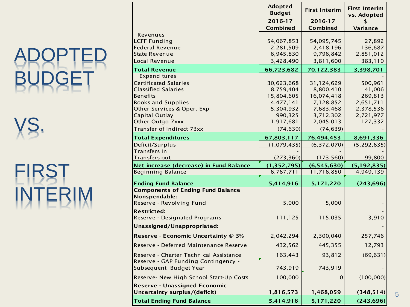# ADOPTED BUDGET

VS.

# FIRST INTERIM

|                                                                                                                                                                                                | Adopted<br><b>Budget</b>                                                                | <b>First Interim</b>                                                                      | <b>First Interim</b><br>vs. Adopted                                            |
|------------------------------------------------------------------------------------------------------------------------------------------------------------------------------------------------|-----------------------------------------------------------------------------------------|-------------------------------------------------------------------------------------------|--------------------------------------------------------------------------------|
|                                                                                                                                                                                                | 2016-17<br><b>Combined</b>                                                              | 2016-17<br><b>Combined</b>                                                                | <b>Variance</b>                                                                |
| Revenues<br><b>LCFF Funding</b><br><b>Federal Revenue</b><br><b>State Revenue</b>                                                                                                              | 54,067,853<br>2,281,509<br>6,945,830                                                    | 54,095,745<br>2,418,196<br>9,796,842                                                      | 27,892<br>136,687<br>2,851,012                                                 |
| Local Revenue                                                                                                                                                                                  | 3,428,490                                                                               | 3,811,600                                                                                 | 383,110                                                                        |
| <b>Total Revenue</b>                                                                                                                                                                           | 66,723,682                                                                              | 70,122,383                                                                                | 3,398,701                                                                      |
| Expenditures<br><b>Certificated Salaries</b><br><b>Classified Salaries</b><br><b>Benefits</b><br><b>Books and Supplies</b><br>Other Services & Oper. Exp<br>Capital Outlay<br>Other Outgo 7xxx | 30,623,668<br>8,759,404<br>15,804,605<br>4,477,141<br>5,304,932<br>990,325<br>1,917,681 | 31,124,629<br>8,800,410<br>16,074,418<br>7,128,852<br>7,683,468<br>3,712,302<br>2,045,013 | 500,961<br>41,006<br>269,813<br>2,651,711<br>2,378,536<br>2,721,977<br>127,332 |
| Transfer of Indirect 73xx                                                                                                                                                                      | (74, 639)                                                                               | (74, 639)                                                                                 |                                                                                |
| <b>Total Expenditures</b>                                                                                                                                                                      | 67,803,117                                                                              | 76,494,453                                                                                | 8,691,336                                                                      |
| Deficit/Surplus<br>Transfers In<br><b>Transfers out</b>                                                                                                                                        | (1,079,435)<br>(273, 360)                                                               | (6, 372, 070)<br>(173, 560)                                                               | (5, 292, 635)<br>99,800                                                        |
| Net increase (decrease) in Fund Balance                                                                                                                                                        | (1, 352, 795)                                                                           | (6, 545, 630)                                                                             | (5, 192, 835)                                                                  |
| <b>Beginning Balance</b>                                                                                                                                                                       | 6,767,711                                                                               | 11,716,850                                                                                | 4,949,139                                                                      |
| <b>Ending Fund Balance</b>                                                                                                                                                                     | 5,414,916                                                                               | 5,171,220                                                                                 | (243, 696)                                                                     |
| <b>Components of Ending Fund Balance</b><br>Nonspendable:<br>Reserve - Revolving Fund                                                                                                          | 5,000                                                                                   | 5,000                                                                                     |                                                                                |
| <b>Restricted:</b><br>Reserve - Designated Programs                                                                                                                                            | 111,125                                                                                 | 115,035                                                                                   | 3,910                                                                          |
| Unassigned/Unappropriated:                                                                                                                                                                     |                                                                                         |                                                                                           |                                                                                |
| Reserve - Economic Uncertainty @ 3%                                                                                                                                                            | 2,042,294                                                                               | 2,300,040                                                                                 | 257,746                                                                        |
| Reserve - Deferred Maintenance Reserve                                                                                                                                                         | 432,562                                                                                 | 445,355                                                                                   | 12,793                                                                         |
| Reserve - Charter Technical Assistance<br>Reserve - GAP Funding Contingency -<br>Subsequent Budget Year                                                                                        | 163,443<br>743,919                                                                      | 93,812<br>743,919                                                                         | (69, 631)                                                                      |
| Reserve- New High School Start-Up Costs                                                                                                                                                        | 100,000                                                                                 | $\mathbf 0$                                                                               | (100,000)                                                                      |
| <b>Reserve - Unassigned Economic</b><br>Uncertainty surplus/(deficit)                                                                                                                          | 1,816,573                                                                               | 1,468,059                                                                                 | (348, 514)                                                                     |
| <b>Total Ending Fund Balance</b>                                                                                                                                                               | 5,414,916                                                                               | 5,171,220                                                                                 | (243, 696)                                                                     |

Adopted

5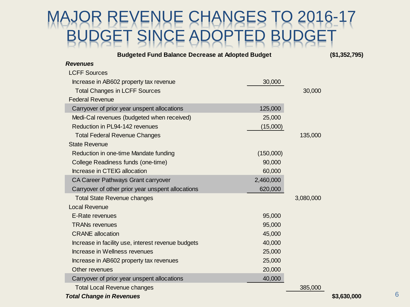#### REVENUE CHANGES TO 2016-17 SINCE A

**Budgeted Fund Balance Decrease at Adopted Budget**

**(\$1,352,795)**

| <b>Revenues</b>                                    |           |           |             |
|----------------------------------------------------|-----------|-----------|-------------|
| <b>LCFF Sources</b>                                |           |           |             |
| Increase in AB602 property tax revenue             | 30,000    |           |             |
| <b>Total Changes in LCFF Sources</b>               |           | 30,000    |             |
| <b>Federal Revenue</b>                             |           |           |             |
| Carryover of prior year unspent allocations        | 125,000   |           |             |
| Medi-Cal revenues (budgeted when received)         | 25,000    |           |             |
| Reduction in PL94-142 revenues                     | (15,000)  |           |             |
| <b>Total Federal Revenue Changes</b>               |           | 135,000   |             |
| <b>State Revenue</b>                               |           |           |             |
| Reduction in one-time Mandate funding              | (150,000) |           |             |
| College Readiness funds (one-time)                 | 90,000    |           |             |
| Increase in CTEIG allocation                       | 60,000    |           |             |
| CA Career Pathways Grant carryover                 | 2,460,000 |           |             |
| Carryover of other prior year unspent allocations  | 620,000   |           |             |
| <b>Total State Revenue changes</b>                 |           | 3,080,000 |             |
| <b>Local Revenue</b>                               |           |           |             |
| E-Rate revenues                                    | 95,000    |           |             |
| <b>TRANs revenues</b>                              | 95,000    |           |             |
| <b>CRANE</b> allocation                            | 45,000    |           |             |
| Increase in facility use, interest revenue budgets | 40,000    |           |             |
| Increase in Wellness revenues                      | 25,000    |           |             |
| Increase in AB602 property tax revenues            | 25,000    |           |             |
| Other revenues                                     | 20,000    |           |             |
| Carryover of prior year unspent allocations        | 40,000    |           |             |
| <b>Total Local Revenue changes</b>                 |           | 385,000   |             |
| <b>Total Change in Revenues</b>                    |           |           | \$3,630,000 |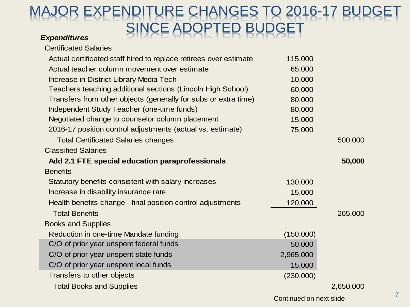#### MAJOR EXPENDITURE CHANGES TO 2016-17 BUDGET SINCE ADOPTED BUDGET

#### *Expenditures*

| <b>Certificated Salaries</b>                                      |           |           |
|-------------------------------------------------------------------|-----------|-----------|
| Actual certificated staff hired to replace retirees over estimate | 115,000   |           |
| Actual teacher column movement over estimate                      | 65,000    |           |
| Increase in District Library Media Tech                           | 10,000    |           |
| Teachers teaching additional sections (Lincoln High School)       | 60,000    |           |
| Transfers from other objects (generally for subs or extra time)   | 80,000    |           |
| Independent Study Teacher (one-time funds)                        | 80,000    |           |
| Negotiated change to counselor column placement                   | 15,000    |           |
| 2016-17 position control adjustments (actual vs. estimate)        | 75,000    |           |
| <b>Total Certificated Salaries changes</b>                        |           | 500,000   |
| <b>Classified Salaries</b>                                        |           |           |
| Add 2.1 FTE special education paraprofessionals                   |           | 50,000    |
| <b>Benefits</b>                                                   |           |           |
| Statutory benefits consistent with salary increases               | 130,000   |           |
| Increase in disability insurance rate                             | 15,000    |           |
| Health benefits change - final position control adjustments       | 120,000   |           |
| <b>Total Benefits</b>                                             |           | 265,000   |
| <b>Books and Supplies</b>                                         |           |           |
| Reduction in one-time Mandate funding                             | (150,000) |           |
| C/O of prior year unspent federal funds                           | 50,000    |           |
| C/O of prior year unspent state funds                             | 2,965,000 |           |
| C/O of prior year unspent local funds                             | 15,000    |           |
| Transfers to other objects                                        | (230,000) |           |
| <b>Total Books and Supplies</b>                                   |           | 2,650,000 |
|                                                                   |           |           |

Continued on next slide 7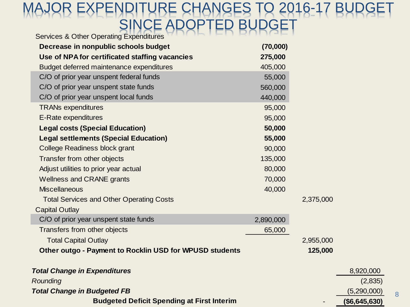#### ENDITURE CHANGES TO 2016-17 BUDGET SINCE ADOPTED BUDGET Services & Other Operating Expenditures

| $\sigma$ or vices $\alpha$ on ier operating Experiments |           |           |                |
|---------------------------------------------------------|-----------|-----------|----------------|
| Decrease in nonpublic schools budget                    | (70,000)  |           |                |
| Use of NPA for certificated staffing vacancies          | 275,000   |           |                |
| Budget deferred maintenance expenditures                | 405,000   |           |                |
| C/O of prior year unspent federal funds                 | 55,000    |           |                |
| C/O of prior year unspent state funds                   | 560,000   |           |                |
| C/O of prior year unspent local funds                   | 440,000   |           |                |
| <b>TRANs expenditures</b>                               | 95,000    |           |                |
| E-Rate expenditures                                     | 95,000    |           |                |
| <b>Legal costs (Special Education)</b>                  | 50,000    |           |                |
| <b>Legal settlements (Special Education)</b>            | 55,000    |           |                |
| College Readiness block grant                           | 90,000    |           |                |
| Transfer from other objects                             | 135,000   |           |                |
| Adjust utilities to prior year actual                   | 80,000    |           |                |
| <b>Wellness and CRANE grants</b>                        | 70,000    |           |                |
| <b>Miscellaneous</b>                                    | 40,000    |           |                |
| <b>Total Services and Other Operating Costs</b>         |           | 2,375,000 |                |
| <b>Capital Outlay</b>                                   |           |           |                |
| C/O of prior year unspent state funds                   | 2,890,000 |           |                |
| Transfers from other objects                            | 65,000    |           |                |
| <b>Total Capital Outlay</b>                             |           | 2,955,000 |                |
| Other outgo - Payment to Rocklin USD for WPUSD students |           | 125,000   |                |
| <b>Total Change in Expenditures</b>                     |           |           | 8,920,000      |
| Rounding                                                |           |           | (2,835)        |
| <b>Total Change in Budgeted FB</b>                      |           |           | (5,290,000)    |
| <b>Budgeted Deficit Spending at First Interim</b>       |           |           | ( \$6,645,630) |

8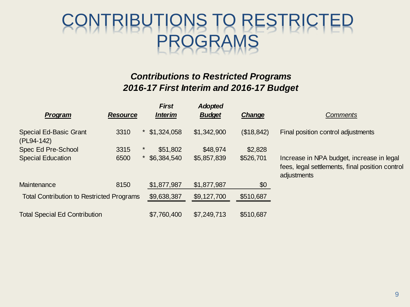### CONTRIBUTIONS TO RESTRICTED PROGRAMS

#### *Contributions to Restricted Programs 2016-17 First Interim and 2016-17 Budget*

| Program                                          | <b>Resource</b> | <b>First</b><br><b>Interim</b> | <b>Adopted</b><br><b>Budget</b> | Change     | <b>Comments</b>                                                                                             |
|--------------------------------------------------|-----------------|--------------------------------|---------------------------------|------------|-------------------------------------------------------------------------------------------------------------|
| <b>Special Ed-Basic Grant</b><br>(PL94-142)      | 3310            | \$1,324,058                    | \$1,342,900                     | (\$18,842) | Final position control adjustments                                                                          |
| Spec Ed Pre-School                               | 3315            | $\star$<br>\$51,802            | \$48,974                        | \$2,828    |                                                                                                             |
| <b>Special Education</b>                         | 6500            | $\star$<br>\$6,384,540         | \$5,857,839                     | \$526,701  | Increase in NPA budget, increase in legal<br>fees, legal settlements, final position control<br>adjustments |
| Maintenance                                      | 8150            | \$1,877,987                    | \$1,877,987                     | \$0        |                                                                                                             |
| <b>Total Contribution to Restricted Programs</b> |                 | \$9,638,387                    | \$9,127,700                     | \$510,687  |                                                                                                             |
| <b>Total Special Ed Contribution</b>             |                 | \$7,760,400                    | \$7,249,713                     | \$510,687  |                                                                                                             |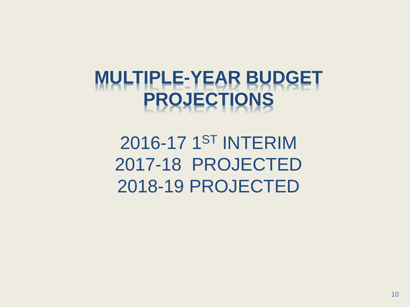## **MULTIPLE-YEAR BUDGET PROJECTIONS**

2016-17 1ST INTERIM 2017-18 PROJECTED 2018-19 PROJECTED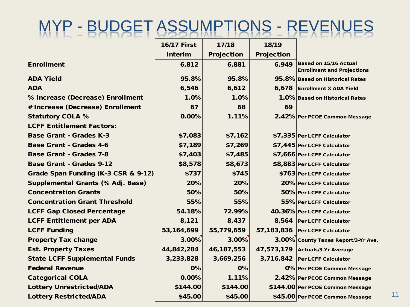## MYP - BUDGET ASSUMPTIONS - REVENUES

|                                      | <b>16/17 First</b> | 17/18             | 18/19             |                                     |
|--------------------------------------|--------------------|-------------------|-------------------|-------------------------------------|
|                                      | <b>Interim</b>     | <b>Projection</b> | <b>Projection</b> |                                     |
| <b>Enrollment</b>                    | 6,812              | 6,881             | 6,949             | Based on 15/16 Actual               |
|                                      |                    |                   |                   | <b>Enrollment and Projections</b>   |
| <b>ADA Yield</b>                     | 95.8%              | 95.8%             |                   | 95.8% Based on Historical Rates     |
| <b>ADA</b>                           | 6,546              | 6,612             | 6,678             | <b>Enrollment X ADA Yield</b>       |
| % Increase (Decrease) Enrollment     | 1.0%               | 1.0%              |                   | 1.0% Based on Historical Rates      |
| # Increase (Decrease) Enrollment     | 67                 | 68                | 69                |                                     |
| <b>Statutory COLA %</b>              | 0.00%              | 1.11%             |                   | 2.42% Per PCOE Common Message       |
| <b>LCFF Entitlement Factors:</b>     |                    |                   |                   |                                     |
| <b>Base Grant - Grades K-3</b>       | \$7,083            | \$7,162           |                   | \$7,335 Per LCFF Calculator         |
| <b>Base Grant - Grades 4-6</b>       | \$7,189            | \$7,269           |                   | \$7,445 Per LCFF Calculator         |
| <b>Base Grant - Grades 7-8</b>       | \$7,403            | \$7,485           |                   | \$7,666 Per LCFF Calculator         |
| <b>Base Grant - Grades 9-12</b>      | \$8,578            | \$8,673           |                   | \$8,883 Per LCFF Calculator         |
| Grade Span Funding (K-3 CSR & 9-12)  | \$737              | \$745             |                   | \$763 Per LCFF Calculator           |
| Supplemental Grants (% Adj. Base)    | 20%                | 20%               |                   | 20% Per LCFF Calculator             |
| <b>Concentration Grants</b>          | 50%                | 50%               |                   | 50% Per LCFF Calculator             |
| <b>Concentration Grant Threshold</b> | 55%                | 55%               |                   | 55% Per LCFF Calculator             |
| <b>LCFF Gap Closed Percentage</b>    | 54.18%             | 72.99%            |                   | 40.36% Per LCFF Calculator          |
| <b>LCFF Entitlement per ADA</b>      | 8,121              | 8,437             |                   | 8,564 Per LCFF Calculator           |
| <b>LCFF Funding</b>                  | 53, 164, 699       | 55,779,659        |                   | 57,183,836 Per LCFF Calculator      |
| <b>Property Tax change</b>           | 3.00%              | 3.00%             |                   | 3.00% County Taxes Report/3-Yr Ave. |
| <b>Est. Property Taxes</b>           | 44,842,284         | 46, 187, 553      |                   | 47,573,179 Actuals/3-Yr Average     |
| <b>State LCFF Supplemental Funds</b> | 3,233,828          | 3,669,256         |                   | 3,716,842 Per LCFF Calculator       |
| <b>Federal Revenue</b>               | 0%                 | 0%                |                   | 0% Per PCOE Common Message          |
| <b>Categorical COLA</b>              | 0.00%              | 1.11%             |                   | 2.42% Per PCOE Common Message       |
| <b>Lottery Unrestricted/ADA</b>      | \$144.00           | \$144.00          |                   | \$144.00 Per PCOE Common Message    |
| <b>Lottery Restricted/ADA</b>        | \$45.00            | \$45.00           |                   | \$45.00 Per PCOE Common Message     |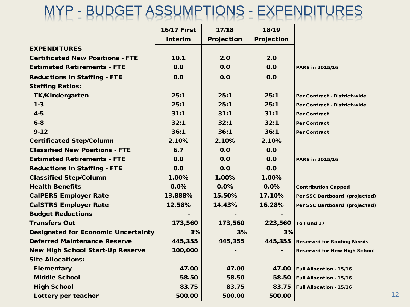#### MYP - BUDGET ASSUMPTIONS - EXPENDITURES

|                                            | <b>16/17 First</b> | 17/18             | 18/19             |                                     |
|--------------------------------------------|--------------------|-------------------|-------------------|-------------------------------------|
|                                            | <b>Interim</b>     | <b>Projection</b> | <b>Projection</b> |                                     |
| <b>EXPENDITURES</b>                        |                    |                   |                   |                                     |
| <b>Certificated New Positions - FTE</b>    | 10.1               | 2.0               | 2.0               |                                     |
| <b>Estimated Retirements - FTE</b>         | 0.0                | 0.0               | 0.0               | PARS in 2015/16                     |
| <b>Reductions in Staffing - FTE</b>        | 0.0                | 0.0               | 0.0               |                                     |
| <b>Staffing Ratios:</b>                    |                    |                   |                   |                                     |
| <b>TK/Kindergarten</b>                     | 25:1               | 25:1              | 25:1              | <b>Per Contract - District-wide</b> |
| $1 - 3$                                    | 25:1               | 25:1              | 25:1              | Per Contract - District-wide        |
| $4 - 5$                                    | 31:1               | 31:1              | 31:1              | <b>Per Contract</b>                 |
| $6 - 8$                                    | 32:1               | 32:1              | 32:1              | <b>Per Contract</b>                 |
| $9 - 12$                                   | 36:1               | 36:1              | 36:1              | <b>Per Contract</b>                 |
| <b>Certificated Step/Column</b>            | 2.10%              | 2.10%             | 2.10%             |                                     |
| <b>Classified New Positions - FTE</b>      | 6.7                | 0.0               | 0.0               |                                     |
| <b>Estimated Retirements - FTE</b>         | 0.0                | 0.0               | 0.0               | PARS in 2015/16                     |
| <b>Reductions in Staffing - FTE</b>        | 0.0                | 0.0               | 0.0               |                                     |
| <b>Classified Step/Column</b>              | 1.00%              | 1.00%             | 1.00%             |                                     |
| <b>Health Benefits</b>                     | 0.0%               | 0.0%              | 0.0%              | <b>Contribution Capped</b>          |
| <b>CalPERS Employer Rate</b>               | 13.888%            | 15.50%            | 17.10%            | Per SSC Dartboard (projected)       |
| <b>CalSTRS Employer Rate</b>               | 12.58%             | 14.43%            | 16.28%            | Per SSC Dartboard (projected)       |
| <b>Budget Reductions</b>                   |                    |                   |                   |                                     |
| <b>Transfers Out</b>                       | 173,560            | 173,560           | 223,560           | To Fund 17                          |
| <b>Designated for Economic Uncertainty</b> | 3%                 | 3%                | 3%                |                                     |
| <b>Deferred Maintenance Reserve</b>        | 445,355            | 445,355           | 445,355           | <b>Reserved for Roofing Needs</b>   |
| <b>New High School Start-Up Reserve</b>    | 100,000            |                   |                   | <b>Reserved for New High School</b> |
| <b>Site Allocations:</b>                   |                    |                   |                   |                                     |
| Elementary                                 | 47.00              | 47.00             | 47.00             | <b>Full Allocation - 15/16</b>      |
| <b>Middle School</b>                       | 58.50              | 58.50             | 58.50             | <b>Full Allocation - 15/16</b>      |
| <b>High School</b>                         | 83.75              | 83.75             | 83.75             | <b>Full Allocation - 15/16</b>      |
| Lottery per teacher                        | 500.00             | 500.00            | 500.00            |                                     |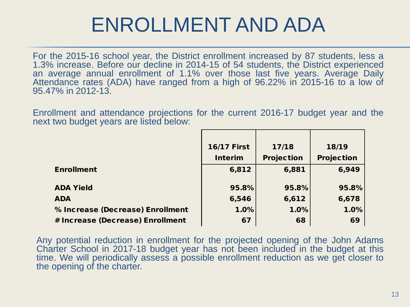#### ENROLLMENT AND ADA

For the 2015-16 school year, the District enrollment increased by 87 students, less a 1.3% increase. Before our decline in 2014-15 of 54 students, the District experienced an average annual enrollment of 1.1% over those last five years. Average Daily Attendance rates (ADA) have ranged from a high of 96.22% in 2015-16 to a low of 95.47% in 2012-13.

Enrollment and attendance projections for the current 2016-17 budget year and the next two budget years are listed below:

|                                  | <b>16/17 First</b> | 17/18             | 18/19             |
|----------------------------------|--------------------|-------------------|-------------------|
|                                  | <b>Interim</b>     | <b>Projection</b> | <b>Projection</b> |
| <b>Enrollment</b>                | 6,812              | 6,881             | 6,949             |
| <b>ADA Yield</b>                 | 95.8%              | 95.8%             | 95.8%             |
| <b>ADA</b>                       | 6,546              | 6,612             | 6,678             |
| % Increase (Decrease) Enrollment | 1.0%               | 1.0%              | 1.0%              |
| # Increase (Decrease) Enrollment | 67                 | 68                | 69                |

Any potential reduction in enrollment for the projected opening of the John Adams Charter School in 2017-18 budget year has not been included in the budget at this time. We will periodically assess a possible enrollment reduction as we get closer to the opening of the charter.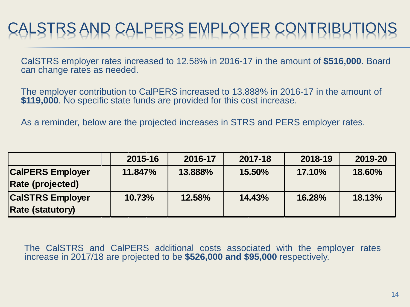### CALSTRS AND CALPERS EMPLOYER CONTRIBUT

CalSTRS employer rates increased to 12.58% in 2016-17 in the amount of **\$516,000**. Board can change rates as needed.

The employer contribution to CalPERS increased to 13.888% in 2016-17 in the amount of **\$119,000**. No specific state funds are provided for this cost increase.

As a reminder, below are the projected increases in STRS and PERS employer rates.

|                                                    | 2015-16 | 2016-17 | 2017-18 | 2018-19 | 2019-20 |
|----------------------------------------------------|---------|---------|---------|---------|---------|
| <b>CalPERS Employer</b><br><b>Rate (projected)</b> | 11.847% | 13.888% | 15.50%  | 17.10%  | 18.60%  |
| <b>CalSTRS Employer</b><br><b>Rate (statutory)</b> | 10.73%  | 12.58%  | 14.43%  | 16.28%  | 18.13%  |

The CalSTRS and CalPERS additional costs associated with the employer rates increase in 2017/18 are projected to be **\$526,000 and \$95,000** respectively.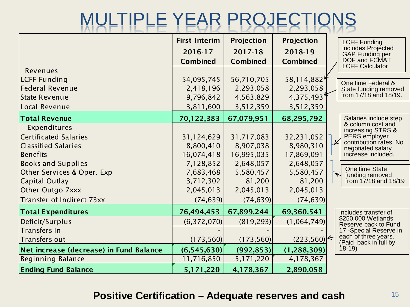## MULTIPLE YEAR PROJECTIONS

|                                                                                                                                                                            | <b>First Interim</b><br>2016-17<br><b>Combined</b>                           | <b>Projection</b><br>$2017 - 18$<br><b>Combined</b>                       | <b>Projection</b><br>2018-19<br><b>Combined</b>                           | <b>LCFF Funding</b><br>includes Projected<br><b>GAP Funding per</b><br>DOF and FCMAT                                                                                                                                              |
|----------------------------------------------------------------------------------------------------------------------------------------------------------------------------|------------------------------------------------------------------------------|---------------------------------------------------------------------------|---------------------------------------------------------------------------|-----------------------------------------------------------------------------------------------------------------------------------------------------------------------------------------------------------------------------------|
| Revenues<br><b>LCFF Funding</b>                                                                                                                                            | 54,095,745                                                                   | 56,710,705                                                                | 58,114,8824                                                               | <b>LCFF Calculator</b>                                                                                                                                                                                                            |
| <b>Federal Revenue</b><br><b>State Revenue</b>                                                                                                                             | 2,418,196<br>9,796,842                                                       | 2,293,058<br>4,563,829                                                    | 2,293,058<br>4,375,493                                                    | One time Federal &<br>State funding removed<br>from 17/18 and 18/19.                                                                                                                                                              |
| Local Revenue                                                                                                                                                              | 3,811,600                                                                    | 3,512,359                                                                 | 3,512,359                                                                 |                                                                                                                                                                                                                                   |
| <b>Total Revenue</b>                                                                                                                                                       | 70,122,383                                                                   | 67,079,951                                                                | 68,295,792                                                                | Salaries include step                                                                                                                                                                                                             |
| Expenditures<br><b>Certificated Salaries</b><br><b>Classified Salaries</b><br><b>Benefits</b><br><b>Books and Supplies</b><br>Other Services & Oper. Exp<br>Capital Outlay | 31,124,629<br>8,800,410<br>16,074,418<br>7,128,852<br>7,683,468<br>3,712,302 | 31,717,083<br>8,907,038<br>16,995,035<br>2,648,057<br>5,580,457<br>81,200 | 32,231,052<br>8,980,310<br>17,869,091<br>2,648,057<br>5,580,457<br>81,200 | & column cost and<br>increasing STRS &<br>PERS employer<br>V<br>contribution rates. No<br>negotiated salary<br>increase included.<br>One time State<br>$\overline{\triangleright}$<br>funding removed<br>from $17/18$ and $18/19$ |
| Other Outgo 7xxx                                                                                                                                                           | 2,045,013                                                                    | 2,045,013                                                                 | 2,045,013                                                                 |                                                                                                                                                                                                                                   |
| Transfer of Indirect 73xx                                                                                                                                                  | (74, 639)                                                                    | (74, 639)                                                                 | (74, 639)                                                                 |                                                                                                                                                                                                                                   |
| <b>Total Expenditures</b>                                                                                                                                                  | 76,494,453                                                                   | 67,899,244                                                                | 69,360,541                                                                | Includes transfer of                                                                                                                                                                                                              |
| Deficit/Surplus                                                                                                                                                            | (6, 372, 070)                                                                | (819, 293)                                                                | (1,064,749)                                                               | \$250,000 Wetlands<br>Reserve back to Fund                                                                                                                                                                                        |
| <b>Transfers In</b><br>Transfers out                                                                                                                                       | (173, 560)                                                                   | (173, 560)                                                                | (223,560)                                                                 | 17 - Special Reserve in<br>each of three years.<br>(Paid back in full by                                                                                                                                                          |
| Net increase (decrease) in Fund Balance                                                                                                                                    | (6,545,630)                                                                  | (992, 853)                                                                | (1, 288, 309)                                                             | $18-19$                                                                                                                                                                                                                           |
| <b>Beginning Balance</b>                                                                                                                                                   | 11,716,850                                                                   | 5, 171, 220                                                               | 4,178,367                                                                 |                                                                                                                                                                                                                                   |
| <b>Ending Fund Balance</b>                                                                                                                                                 | 5,171,220                                                                    | 4,178,367                                                                 | 2,890,058                                                                 |                                                                                                                                                                                                                                   |

#### **Positive Certification – Adequate reserves and cash**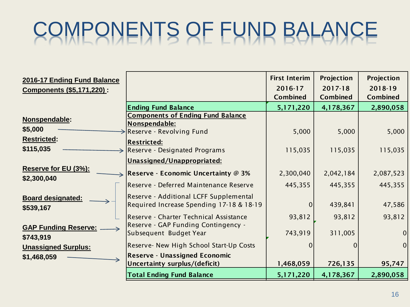# COMPONENTS OF FUND BALANCE

| 2016-17 Ending Fund Balance              |                                                                                    | <b>First Interim</b> | Projection      | <b>Projection</b> |
|------------------------------------------|------------------------------------------------------------------------------------|----------------------|-----------------|-------------------|
| <b>Components (\$5,171,220):</b>         |                                                                                    | 2016-17              | $2017 - 18$     | 2018-19           |
|                                          |                                                                                    | <b>Combined</b>      | <b>Combined</b> | <b>Combined</b>   |
|                                          | <b>Ending Fund Balance</b>                                                         | 5,171,220            | 4,178,367       | 2,890,058         |
| Nonspendable:                            | <b>Components of Ending Fund Balance</b><br>Nonspendable:                          |                      |                 |                   |
| \$5,000<br><b>Restricted:</b>            | $\rightarrow$ Reserve - Revolving Fund                                             | 5,000                | 5,000           | 5,000             |
| \$115,035                                | <b>Restricted:</b><br>Reserve - Designated Programs                                | 115,035              | 115,035         | 115,035           |
|                                          | Unassigned/Unappropriated:                                                         |                      |                 |                   |
| Reserve for EU (3%):<br>\$2,300,040      | $\Rightarrow$ Reserve - Economic Uncertainty @ 3%                                  | 2,300,040            | 2,042,184       | 2,087,523         |
|                                          | Reserve - Deferred Maintenance Reserve                                             | 445,355              | 445,355         | 445,355           |
| <b>Board designated:</b><br>\$539,167    | Reserve - Additional LCFF Supplemental<br>Required Increase Spending 17-18 & 18-19 | $\overline{0}$       | 439,841         | 47,586            |
|                                          | Reserve - Charter Technical Assistance<br>Reserve - GAP Funding Contingency -      | 93,812               | 93,812          | 93,812            |
| <b>GAP Funding Reserve:</b><br>\$743,919 | Subsequent Budget Year                                                             | 743,919              | 311,005         | $\mathbf 0$       |
| <b>Unassigned Surplus:</b>               | Reserve- New High School Start-Up Costs                                            | $\Omega$             |                 | $\overline{0}$    |
| \$1,468,059                              | <b>Reserve - Unassigned Economic</b><br>Uncertainty surplus/(deficit)              | 1,468,059            | 726,135         | 95,747            |
|                                          | <b>Total Ending Fund Balance</b>                                                   | 5,171,220            | 4,178,367       | 2,890,058         |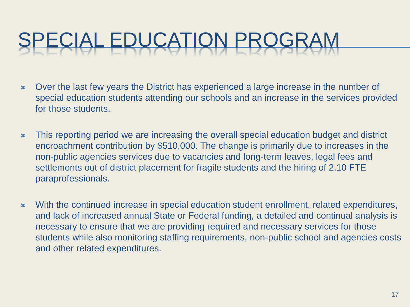# CIAL EDUCATION PR

- Over the last few years the District has experienced a large increase in the number of special education students attending our schools and an increase in the services provided for those students.
- \* This reporting period we are increasing the overall special education budget and district encroachment contribution by \$510,000. The change is primarily due to increases in the non-public agencies services due to vacancies and long-term leaves, legal fees and settlements out of district placement for fragile students and the hiring of 2.10 FTE paraprofessionals.
- With the continued increase in special education student enrollment, related expenditures, and lack of increased annual State or Federal funding, a detailed and continual analysis is necessary to ensure that we are providing required and necessary services for those students while also monitoring staffing requirements, non-public school and agencies costs and other related expenditures.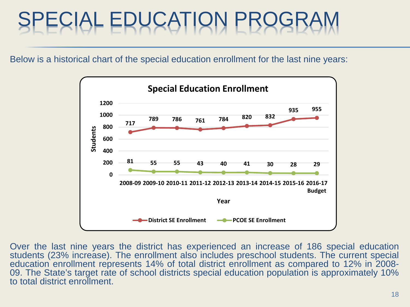# SPECIAL EDUCATION PROGRAM

Below is a historical chart of the special education enrollment for the last nine years:



Over the last nine years the district has experienced an increase of 186 special education students (23% increase). The enrollment also includes preschool students. The current special education enrollment represents 14% of total district enrollment as compared to 12% in 2008-09. The State's target rate of school districts special education population is approximately 10% to total district enrollment.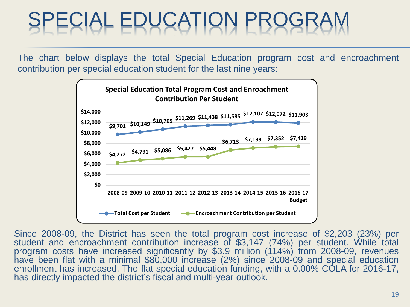# SPECIAL EDUCATION PROGRAM

The chart below displays the total Special Education program cost and encroachment contribution per special education student for the last nine years:



Since 2008-09, the District has seen the total program cost increase of \$2,203 (23%) per student and encroachment contribution increase of \$3,147 (74%) per student. While total program costs have increased significantly by \$3.9 million (114%) from 2008-09, revenues have been flat with a minimal \$80,000 increase (2%) since 2008-09 and special education enrollment has increased. The flat special education funding, with a 0.00% COLA for 2016-17, has directly impacted the district's fiscal and multi-year outlook.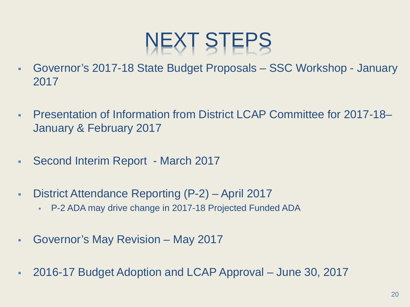# NEXT STEPS

- Governor's 2017-18 State Budget Proposals SSC Workshop January 2017
- Presentation of Information from District LCAP Committee for 2017-18– January & February 2017
- Second Interim Report March 2017
- District Attendance Reporting (P-2) April 2017
	- P-2 ADA may drive change in 2017-18 Projected Funded ADA
- Governor's May Revision May 2017
- 2016-17 Budget Adoption and LCAP Approval June 30, 2017